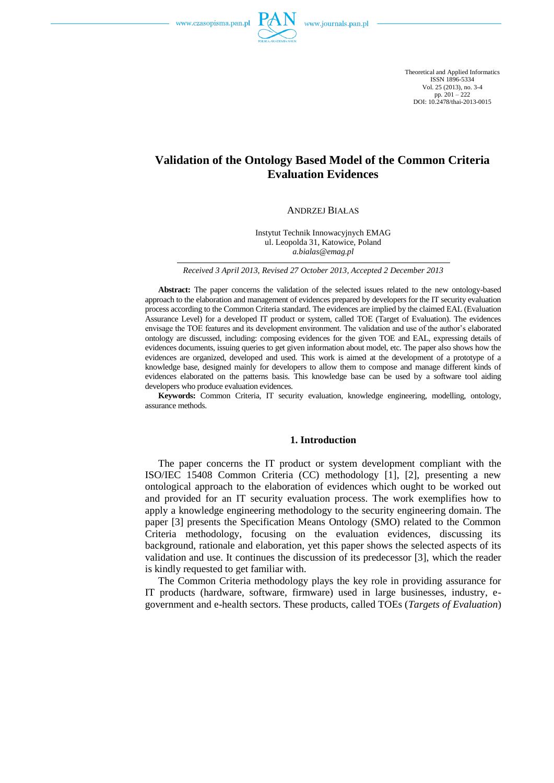

Theoretical and Applied Informatics ISSN 1896-5334 Vol. 25 (2013), no. 3-4 pp. 201 – 222 DOI: 10.2478/thai-2013-0015

# **Validation of the Ontology Based Model of the Common Criteria Evaluation Evidences**

ANDRZEJ BIAŁAS

Instytut Technik Innowacyjnych EMAG ul. Leopolda 31, Katowice, Poland *a.bialas@emag.pl*

*Received 3 April 2013, Revised 27 October 2013, Accepted 2 December 2013*

**Abstract:** The paper concerns the validation of the selected issues related to the new ontology-based approach to the elaboration and management of evidences prepared by developers for the IT security evaluation process according to the Common Criteria standard. The evidences are implied by the claimed EAL (Evaluation Assurance Level) for a developed IT product or system, called TOE (Target of Evaluation). The evidences envisage the TOE features and its development environment. The validation and use of the author's elaborated ontology are discussed, including: composing evidences for the given TOE and EAL, expressing details of evidences documents, issuing queries to get given information about model, etc. The paper also shows how the evidences are organized, developed and used. This work is aimed at the development of a prototype of a knowledge base, designed mainly for developers to allow them to compose and manage different kinds of evidences elaborated on the patterns basis. This knowledge base can be used by a software tool aiding developers who produce evaluation evidences.

**Keywords:** Common Criteria, IT security evaluation, knowledge engineering, modelling, ontology, assurance methods.

## **1. Introduction**

The paper concerns the IT product or system development compliant with the ISO/IEC 15408 Common Criteria (CC) methodology [1], [2], presenting a new ontological approach to the elaboration of evidences which ought to be worked out and provided for an IT security evaluation process. The work exemplifies how to apply a knowledge engineering methodology to the security engineering domain. The paper [3] presents the Specification Means Ontology (SMO) related to the Common Criteria methodology, focusing on the evaluation evidences, discussing its background, rationale and elaboration, yet this paper shows the selected aspects of its validation and use. It continues the discussion of its predecessor [3], which the reader is kindly requested to get familiar with.

The Common Criteria methodology plays the key role in providing assurance for IT products (hardware, software, firmware) used in large businesses, industry, egovernment and e-health sectors. These products, called TOEs (*Targets of Evaluation*)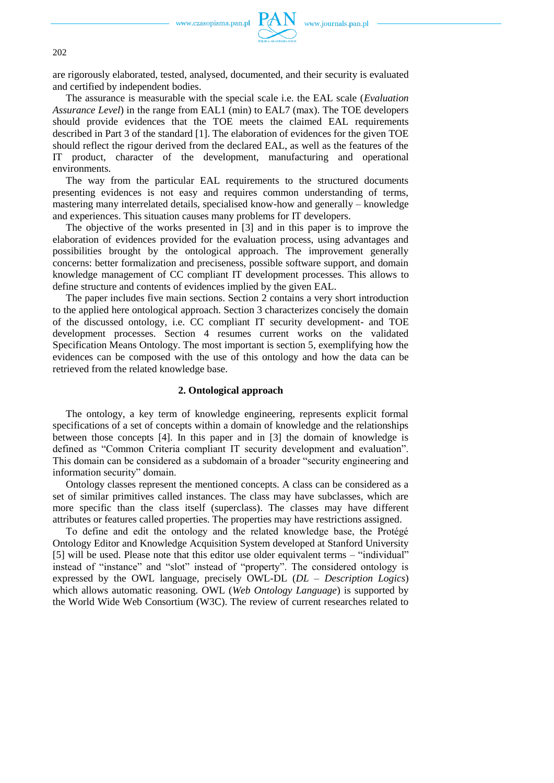

are rigorously elaborated, tested, analysed, documented, and their security is evaluated and certified by independent bodies.

The assurance is measurable with the special scale i.e. the EAL scale (*Evaluation Assurance Level*) in the range from EAL1 (min) to EAL7 (max). The TOE developers should provide evidences that the TOE meets the claimed EAL requirements described in Part 3 of the standard [1]. The elaboration of evidences for the given TOE should reflect the rigour derived from the declared EAL, as well as the features of the IT product, character of the development, manufacturing and operational environments.

The way from the particular EAL requirements to the structured documents presenting evidences is not easy and requires common understanding of terms, mastering many interrelated details, specialised know-how and generally – knowledge and experiences. This situation causes many problems for IT developers.

The objective of the works presented in [3] and in this paper is to improve the elaboration of evidences provided for the evaluation process, using advantages and possibilities brought by the ontological approach. The improvement generally concerns: better formalization and preciseness, possible software support, and domain knowledge management of CC compliant IT development processes. This allows to define structure and contents of evidences implied by the given EAL.

The paper includes five main sections. Section 2 contains a very short introduction to the applied here ontological approach. Section 3 characterizes concisely the domain of the discussed ontology, i.e. CC compliant IT security development- and TOE development processes. Section 4 resumes current works on the validated Specification Means Ontology. The most important is section 5, exemplifying how the evidences can be composed with the use of this ontology and how the data can be retrieved from the related knowledge base.

## **2. Ontological approach**

The ontology, a key term of knowledge engineering, represents explicit formal specifications of a set of concepts within a domain of knowledge and the relationships between those concepts [4]. In this paper and in [3] the domain of knowledge is defined as "Common Criteria compliant IT security development and evaluation". This domain can be considered as a subdomain of a broader "security engineering and information security" domain.

Ontology classes represent the mentioned concepts. A class can be considered as a set of similar primitives called instances. The class may have subclasses, which are more specific than the class itself (superclass). The classes may have different attributes or features called properties. The properties may have restrictions assigned.

To define and edit the ontology and the related knowledge base, the Protégé Ontology Editor and Knowledge Acquisition System developed at Stanford University [5] will be used. Please note that this editor use older equivalent terms – "individual" instead of "instance" and "slot" instead of "property". The considered ontology is expressed by the OWL language, precisely OWL-DL (*DL – Description Logics*) which allows automatic reasoning. OWL (*Web Ontology Language*) is supported by the World Wide Web Consortium (W3C). The review of current researches related to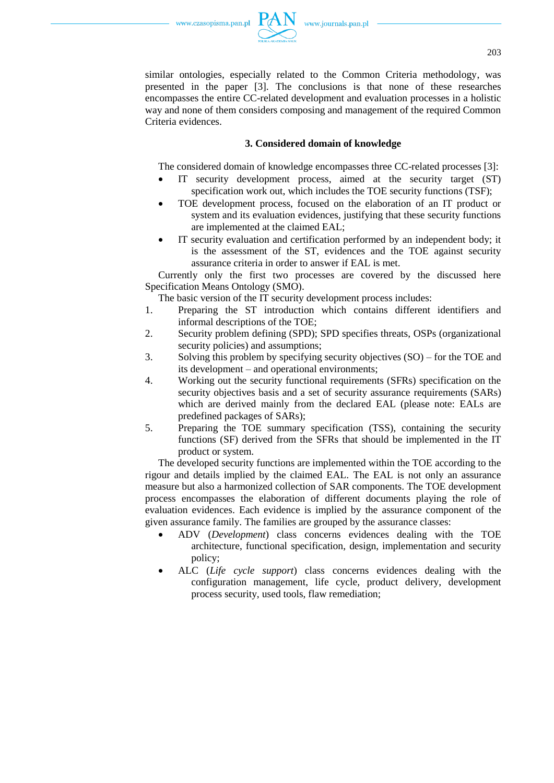similar ontologies, especially related to the Common Criteria methodology, was presented in the paper [3]. The conclusions is that none of these researches encompasses the entire CC-related development and evaluation processes in a holistic way and none of them considers composing and management of the required Common Criteria evidences.

# **3. Considered domain of knowledge**

The considered domain of knowledge encompasses three CC-related processes [3]:

- IT security development process, aimed at the security target (ST) specification work out, which includes the TOE security functions (TSF);
- TOE development process, focused on the elaboration of an IT product or system and its evaluation evidences, justifying that these security functions are implemented at the claimed EAL;
- IT security evaluation and certification performed by an independent body; it is the assessment of the ST, evidences and the TOE against security assurance criteria in order to answer if EAL is met.

Currently only the first two processes are covered by the discussed here Specification Means Ontology (SMO).

The basic version of the IT security development process includes:

- 1. Preparing the ST introduction which contains different identifiers and informal descriptions of the TOE;
- 2. Security problem defining (SPD); SPD specifies threats, OSPs (organizational security policies) and assumptions;
- 3. Solving this problem by specifying security objectives (SO) for the TOE and its development – and operational environments;
- 4. Working out the security functional requirements (SFRs) specification on the security objectives basis and a set of security assurance requirements (SARs) which are derived mainly from the declared EAL (please note: EALs are predefined packages of SARs);
- 5. Preparing the TOE summary specification (TSS), containing the security functions (SF) derived from the SFRs that should be implemented in the IT product or system.

The developed security functions are implemented within the TOE according to the rigour and details implied by the claimed EAL. The EAL is not only an assurance measure but also a harmonized collection of SAR components. The TOE development process encompasses the elaboration of different documents playing the role of evaluation evidences. Each evidence is implied by the assurance component of the given assurance family. The families are grouped by the assurance classes:

- ADV (*Development*) class concerns evidences dealing with the TOE architecture, functional specification, design, implementation and security policy;
- ALC (*Life cycle support*) class concerns evidences dealing with the configuration management, life cycle, product delivery, development process security, used tools, flaw remediation;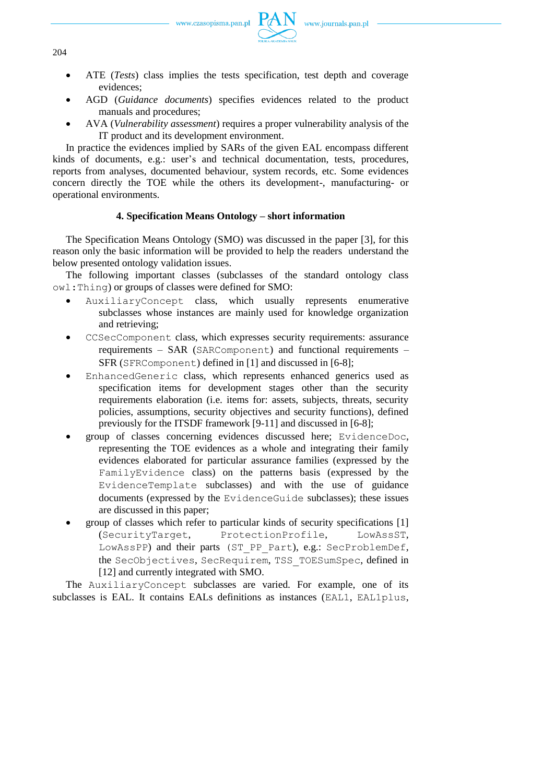

- ATE (*Tests*) class implies the tests specification, test depth and coverage evidences;
- AGD (*Guidance documents*) specifies evidences related to the product manuals and procedures;
- AVA (*Vulnerability assessment*) requires a proper vulnerability analysis of the IT product and its development environment.

In practice the evidences implied by SARs of the given EAL encompass different kinds of documents, e.g.: user's and technical documentation, tests, procedures, reports from analyses, documented behaviour, system records, etc. Some evidences concern directly the TOE while the others its development-, manufacturing- or operational environments.

# **4. Specification Means Ontology – short information**

The Specification Means Ontology (SMO) was discussed in the paper [3], for this reason only the basic information will be provided to help the readers understand the below presented ontology validation issues.

The following important classes (subclasses of the standard ontology class owl:Thing) or groups of classes were defined for SMO:

- AuxiliaryConcept class, which usually represents enumerative subclasses whose instances are mainly used for knowledge organization and retrieving;
- CCSecComponent class, which expresses security requirements: assurance requirements – SAR (SARComponent) and functional requirements – SFR (SFRComponent) defined in [1] and discussed in [6-8];
- EnhancedGeneric class, which represents enhanced generics used as specification items for development stages other than the security requirements elaboration (i.e. items for: assets, subjects, threats, security policies, assumptions, security objectives and security functions), defined previously for the ITSDF framework [9-11] and discussed in [6-8];
- group of classes concerning evidences discussed here; EvidenceDoc, representing the TOE evidences as a whole and integrating their family evidences elaborated for particular assurance families (expressed by the FamilyEvidence class) on the patterns basis (expressed by the EvidenceTemplate subclasses) and with the use of guidance documents (expressed by the EvidenceGuide subclasses); these issues are discussed in this paper;
- group of classes which refer to particular kinds of security specifications [1] (SecurityTarget, ProtectionProfile, LowAssST, LowAssPP) and their parts (ST\_PP\_Part), e.g.: SecProblemDef, the SecObjectives, SecRequirem, TSS\_TOESumSpec, defined in [12] and currently integrated with SMO.

The AuxiliaryConcept subclasses are varied. For example, one of its subclasses is EAL. It contains EALs definitions as instances (EAL1, EAL1plus,

204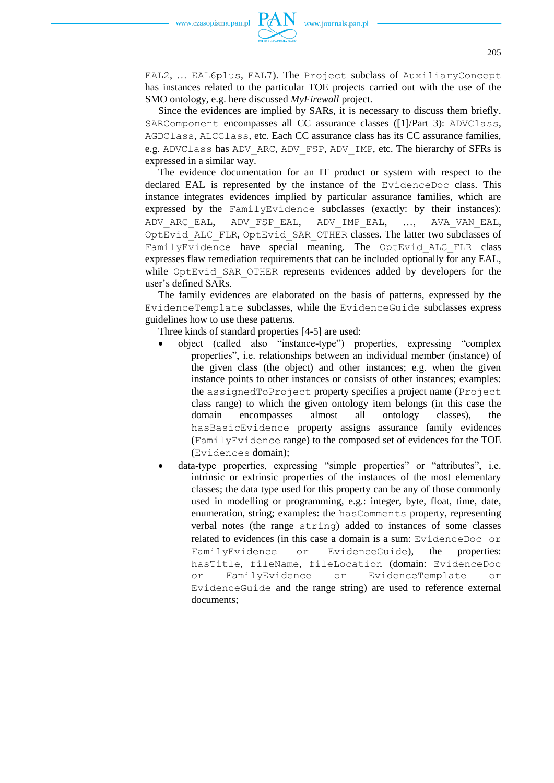

EAL2, … EAL6plus, EAL7). The Project subclass of AuxiliaryConcept has instances related to the particular TOE projects carried out with the use of the SMO ontology, e.g. here discussed *MyFirewall* project.

Since the evidences are implied by SARs, it is necessary to discuss them briefly. SARComponent encompasses all CC assurance classes ([1]/Part 3): ADVClass, AGDClass, ALCClass, etc. Each CC assurance class has its CC assurance families, e.g. ADVClass has ADV\_ARC, ADV\_FSP, ADV\_IMP, etc. The hierarchy of SFRs is expressed in a similar way.

The evidence documentation for an IT product or system with respect to the declared EAL is represented by the instance of the EvidenceDoc class. This instance integrates evidences implied by particular assurance families, which are expressed by the FamilyEvidence subclasses (exactly: by their instances): ADV\_ARC\_EAL, ADV\_FSP\_EAL, ADV\_IMP\_EAL, …, AVA\_VAN\_EAL, OptEvid\_ALC\_FLR, OptEvid\_SAR\_OTHER classes. The latter two subclasses of FamilyEvidence have special meaning. The OptEvid ALC FLR class expresses flaw remediation requirements that can be included optionally for any EAL, while OptEvid SAR OTHER represents evidences added by developers for the user's defined SARs.

The family evidences are elaborated on the basis of patterns, expressed by the EvidenceTemplate subclasses, while the EvidenceGuide subclasses express guidelines how to use these patterns.

Three kinds of standard properties [4-5] are used:

- object (called also "instance-type") properties, expressing "complex properties", i.e. relationships between an individual member (instance) of the given class (the object) and other instances; e.g. when the given instance points to other instances or consists of other instances; examples: the assignedToProject property specifies a project name (Project class range) to which the given ontology item belongs (in this case the domain encompasses almost all ontology classes), the hasBasicEvidence property assigns assurance family evidences (FamilyEvidence range) to the composed set of evidences for the TOE (Evidences domain);
- data-type properties, expressing "simple properties" or "attributes", i.e. intrinsic or extrinsic properties of the instances of the most elementary classes; the data type used for this property can be any of those commonly used in modelling or programming, e.g.: integer, byte, float, time, date, enumeration, string; examples: the hasComments property, representing verbal notes (the range string) added to instances of some classes related to evidences (in this case a domain is a sum: EvidenceDoc or FamilyEvidence or EvidenceGuide), the properties: hasTitle, fileName, fileLocation (domain: EvidenceDoc or FamilyEvidence or EvidenceTemplate or EvidenceGuide and the range string) are used to reference external documents;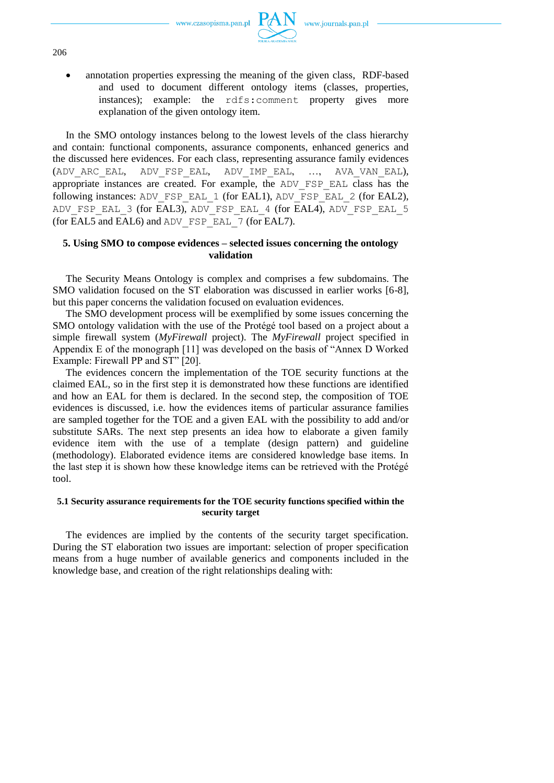

 annotation properties expressing the meaning of the given class, RDF-based and used to document different ontology items (classes, properties, instances); example: the rdfs:comment property gives more explanation of the given ontology item.

In the SMO ontology instances belong to the lowest levels of the class hierarchy and contain: functional components, assurance components, enhanced generics and the discussed here evidences. For each class, representing assurance family evidences (ADV\_ARC\_EAL, ADV\_FSP\_EAL, ADV\_IMP\_EAL, …, AVA\_VAN\_EAL), appropriate instances are created. For example, the ADV\_FSP\_EAL class has the following instances: ADV\_FSP\_EAL\_1 (for EAL1), ADV\_FSP\_EAL\_2 (for EAL2), ADV\_FSP\_EAL\_3 (for EAL3), ADV\_FSP\_EAL\_4 (for EAL4), ADV\_FSP\_EAL\_5 (for EAL5 and EAL6) and ADV\_FSP\_EAL\_7 (for EAL7).

# **5. Using SMO to compose evidences – selected issues concerning the ontology validation**

The Security Means Ontology is complex and comprises a few subdomains. The SMO validation focused on the ST elaboration was discussed in earlier works [6-8], but this paper concerns the validation focused on evaluation evidences.

The SMO development process will be exemplified by some issues concerning the SMO ontology validation with the use of the Protégé tool based on a project about a simple firewall system (*MyFirewall* project). The *MyFirewall* project specified in Appendix E of the monograph [11] was developed on the basis of "Annex D Worked Example: Firewall PP and ST" [20].

The evidences concern the implementation of the TOE security functions at the claimed EAL, so in the first step it is demonstrated how these functions are identified and how an EAL for them is declared. In the second step, the composition of TOE evidences is discussed, i.e. how the evidences items of particular assurance families are sampled together for the TOE and a given EAL with the possibility to add and/or substitute SARs. The next step presents an idea how to elaborate a given family evidence item with the use of a template (design pattern) and guideline (methodology). Elaborated evidence items are considered knowledge base items. In the last step it is shown how these knowledge items can be retrieved with the Protégé tool.

# **5.1 Security assurance requirements for the TOE security functions specified within the security target**

The evidences are implied by the contents of the security target specification. During the ST elaboration two issues are important: selection of proper specification means from a huge number of available generics and components included in the knowledge base, and creation of the right relationships dealing with: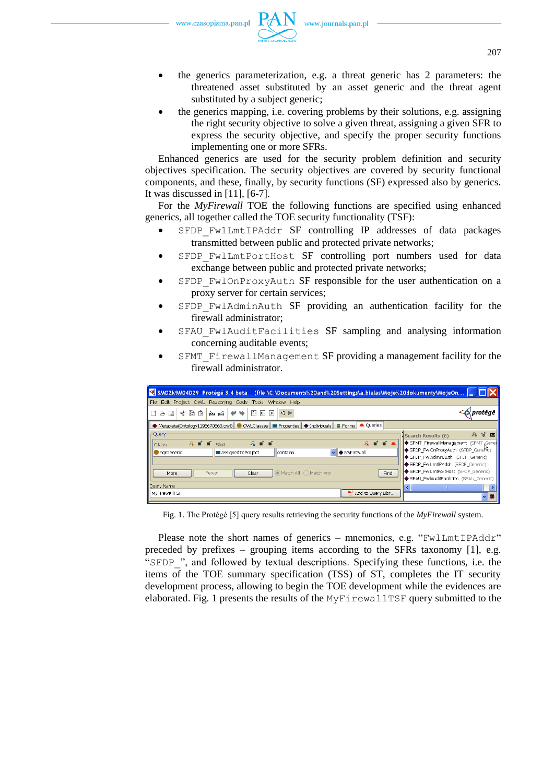

- the generics parameterization, e.g. a threat generic has 2 parameters: the threatened asset substituted by an asset generic and the threat agent substituted by a subject generic;
- the generics mapping, i.e. covering problems by their solutions, e.g. assigning the right security objective to solve a given threat, assigning a given SFR to express the security objective, and specify the proper security functions implementing one or more SFRs.

Enhanced generics are used for the security problem definition and security objectives specification. The security objectives are covered by security functional components, and these, finally, by security functions (SF) expressed also by generics. It was discussed in [11], [6-7].

For the *MyFirewall* TOE the following functions are specified using enhanced generics, all together called the TOE security functionality (TSF):

- SFDP\_FwlLmtIPAddr SF controlling IP addresses of data packages transmitted between public and protected private networks;
- SFDP FwlLmtPortHost SF controlling port numbers used for data exchange between public and protected private networks;
- SFDP\_FwlOnProxyAuth SF responsible for the user authentication on a proxy server for certain services;
- SFDP FwlAdminAuth SF providing an authentication facility for the firewall administrator;
- SFAU FwlAuditFacilities SF sampling and analysing information concerning auditable events;
- SFMT FirewallManagement SF providing a management facility for the firewall administrator.

| SMO2k9M04D29 Protégé 3.4 beta (file:\C:\Documents%20and%20Settings\a.bialas\Moje%20dokumenty\MojeOn                                              |                                                |  |  |  |  |
|--------------------------------------------------------------------------------------------------------------------------------------------------|------------------------------------------------|--|--|--|--|
| File Edit Project OWL Reasoning Code Tools Window Help                                                                                           |                                                |  |  |  |  |
| せ■<br>원 히<br>匝<br>僑<br>西凶<br>৶<br>₩<br>$\triangleleft$ $\triangleright$<br>周<br>ПB                                                               | protégé                                        |  |  |  |  |
| <b>A</b> Oueries<br>$\bullet$ Metadata(Ontology1198670863.owl) $\bullet$ OWLClasses $\bullet$ Troperties $\bullet$ Individuals<br>$\equiv$ Forms |                                                |  |  |  |  |
| Query                                                                                                                                            | 身間回<br>Search Results (6)                      |  |  |  |  |
| $R = 1 + 1$<br>$\hat{A}$ $\equiv$ $\equiv$ $Slot$<br>$A + I$<br>Class                                                                            | SFMT_FirewallManagement (SFMT, Gene            |  |  |  |  |
| MyFirewall<br><b>In assigned ToProject</b><br><b>G</b> FarGeneric<br>$\vee$<br>contains                                                          | SFDP_FwlOnProxyAuth (SFDP_Gene <sup>N</sup> E) |  |  |  |  |
| SFDP_FwlAdminAuth (SFDP_Generic)                                                                                                                 |                                                |  |  |  |  |
|                                                                                                                                                  | SFDP_FwlLmtIPAddr (SFDP_Generic)               |  |  |  |  |
| SFDP FwlLmtPortHost (SFDP Generic)<br>Match All Match Any<br>Fewer<br>Clear<br>Find<br>More                                                      |                                                |  |  |  |  |
| SFAU FwlAuditFacilities (SFAU Generic)                                                                                                           |                                                |  |  |  |  |
| Ouery Name                                                                                                                                       | $\blacksquare$                                 |  |  |  |  |
| Add to Query Libr<br>MyFirewallTSF                                                                                                               | <b>BB</b><br>$\checkmark$                      |  |  |  |  |
|                                                                                                                                                  |                                                |  |  |  |  |

Fig. 1. The Protégé [5] query results retrieving the security functions of the *MyFirewall* system.

Please note the short names of generics – mnemonics, e.g. "FwlLmtIPAddr" preceded by prefixes – grouping items according to the SFRs taxonomy  $[1]$ , e.g. "SFDP ", and followed by textual descriptions. Specifying these functions, i.e. the items of the TOE summary specification (TSS) of ST, completes the IT security development process, allowing to begin the TOE development while the evidences are elaborated. Fig. 1 presents the results of the MyFirewallTSF query submitted to the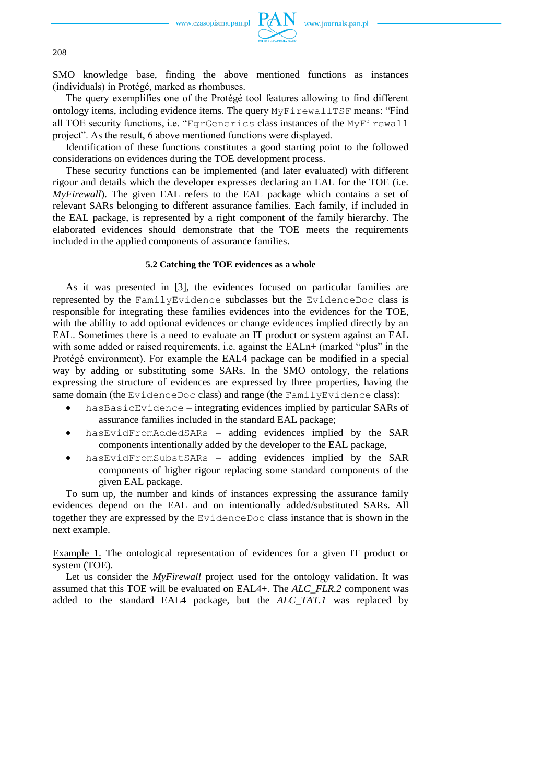

208

SMO knowledge base, finding the above mentioned functions as instances (individuals) in Protégé, marked as rhombuses.

The query exemplifies one of the Protégé tool features allowing to find different ontology items, including evidence items. The query MyFirewallTSF means: "Find all TOE security functions, i.e. "FgrGenerics class instances of the MyFirewall project". As the result, 6 above mentioned functions were displayed.

Identification of these functions constitutes a good starting point to the followed considerations on evidences during the TOE development process.

These security functions can be implemented (and later evaluated) with different rigour and details which the developer expresses declaring an EAL for the TOE (i.e. *MyFirewall*). The given EAL refers to the EAL package which contains a set of relevant SARs belonging to different assurance families. Each family, if included in the EAL package, is represented by a right component of the family hierarchy. The elaborated evidences should demonstrate that the TOE meets the requirements included in the applied components of assurance families.

# **5.2 Catching the TOE evidences as a whole**

As it was presented in [3], the evidences focused on particular families are represented by the FamilyEvidence subclasses but the EvidenceDoc class is responsible for integrating these families evidences into the evidences for the TOE, with the ability to add optional evidences or change evidences implied directly by an EAL. Sometimes there is a need to evaluate an IT product or system against an EAL with some added or raised requirements, i.e. against the EALn+ (marked "plus" in the Protégé environment). For example the EAL4 package can be modified in a special way by adding or substituting some SARs. In the SMO ontology, the relations expressing the structure of evidences are expressed by three properties, having the same domain (the EvidenceDoc class) and range (the FamilyEvidence class):

- hasBasicEvidence integrating evidences implied by particular SARs of assurance families included in the standard EAL package;
- hasEvidFromAddedSARs adding evidences implied by the SAR components intentionally added by the developer to the EAL package,
- hasEvidFromSubstSARs adding evidences implied by the SAR components of higher rigour replacing some standard components of the given EAL package.

To sum up, the number and kinds of instances expressing the assurance family evidences depend on the EAL and on intentionally added/substituted SARs. All together they are expressed by the EvidenceDoc class instance that is shown in the next example.

Example 1. The ontological representation of evidences for a given IT product or system (TOE).

Let us consider the *MyFirewall* project used for the ontology validation. It was assumed that this TOE will be evaluated on EAL4+. The *ALC\_FLR.2* component was added to the standard EAL4 package, but the *ALC\_TAT.1* was replaced by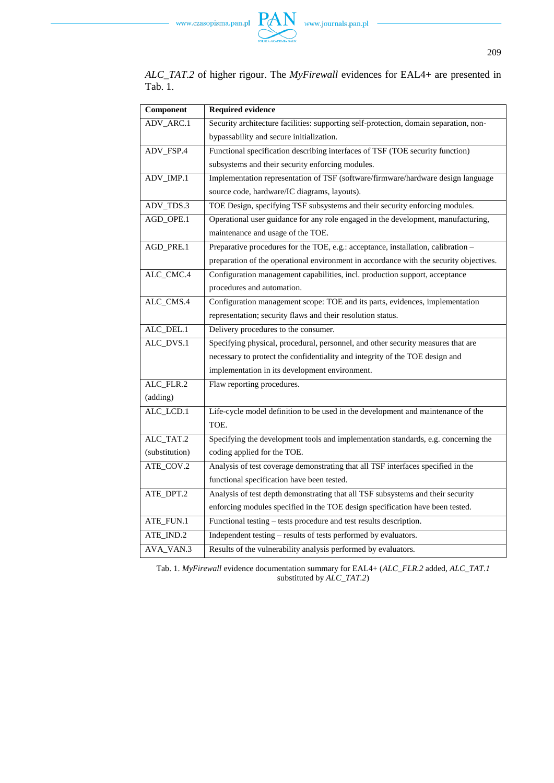

*ALC\_TAT.2* of higher rigour. The *MyFirewall* evidences for EAL4+ are presented in Tab. 1.

| Component      | <b>Required evidence</b>                                                               |  |  |  |  |
|----------------|----------------------------------------------------------------------------------------|--|--|--|--|
| ADV_ARC.1      | Security architecture facilities: supporting self-protection, domain separation, non-  |  |  |  |  |
|                | bypassability and secure initialization.                                               |  |  |  |  |
| ADV_FSP.4      | Functional specification describing interfaces of TSF (TOE security function)          |  |  |  |  |
|                | subsystems and their security enforcing modules.                                       |  |  |  |  |
| ADV_IMP.1      | Implementation representation of TSF (software/firmware/hardware design language       |  |  |  |  |
|                | source code, hardware/IC diagrams, layouts).                                           |  |  |  |  |
| ADV_TDS.3      | TOE Design, specifying TSF subsystems and their security enforcing modules.            |  |  |  |  |
| AGD_OPE.1      | Operational user guidance for any role engaged in the development, manufacturing,      |  |  |  |  |
|                | maintenance and usage of the TOE.                                                      |  |  |  |  |
| AGD_PRE.1      | Preparative procedures for the TOE, e.g.: acceptance, installation, calibration -      |  |  |  |  |
|                | preparation of the operational environment in accordance with the security objectives. |  |  |  |  |
| ALC_CMC.4      | Configuration management capabilities, incl. production support, acceptance            |  |  |  |  |
|                | procedures and automation.                                                             |  |  |  |  |
| ALC_CMS.4      | Configuration management scope: TOE and its parts, evidences, implementation           |  |  |  |  |
|                | representation; security flaws and their resolution status.                            |  |  |  |  |
| ALC_DEL.1      | Delivery procedures to the consumer.                                                   |  |  |  |  |
| ALC_DVS.1      | Specifying physical, procedural, personnel, and other security measures that are       |  |  |  |  |
|                | necessary to protect the confidentiality and integrity of the TOE design and           |  |  |  |  |
|                | implementation in its development environment.                                         |  |  |  |  |
| ALC_FLR.2      | Flaw reporting procedures.                                                             |  |  |  |  |
| (adding)       |                                                                                        |  |  |  |  |
| ALC_LCD.1      | Life-cycle model definition to be used in the development and maintenance of the       |  |  |  |  |
|                | TOE.                                                                                   |  |  |  |  |
| ALC_TAT.2      | Specifying the development tools and implementation standards, e.g. concerning the     |  |  |  |  |
| (substitution) | coding applied for the TOE.                                                            |  |  |  |  |
| ATE_COV.2      | Analysis of test coverage demonstrating that all TSF interfaces specified in the       |  |  |  |  |
|                | functional specification have been tested.                                             |  |  |  |  |
| ATE_DPT.2      | Analysis of test depth demonstrating that all TSF subsystems and their security        |  |  |  |  |
|                | enforcing modules specified in the TOE design specification have been tested.          |  |  |  |  |
| ATE_FUN.1      | Functional testing – tests procedure and test results description.                     |  |  |  |  |
| ATE_IND.2      | Independent testing - results of tests performed by evaluators.                        |  |  |  |  |
| AVA_VAN.3      | Results of the vulnerability analysis performed by evaluators.                         |  |  |  |  |

Tab. 1. *MyFirewall* evidence documentation summary for EAL4+ (*ALC\_FLR.2* added, *ALC\_TAT.1* substituted by *ALC\_TAT.2*)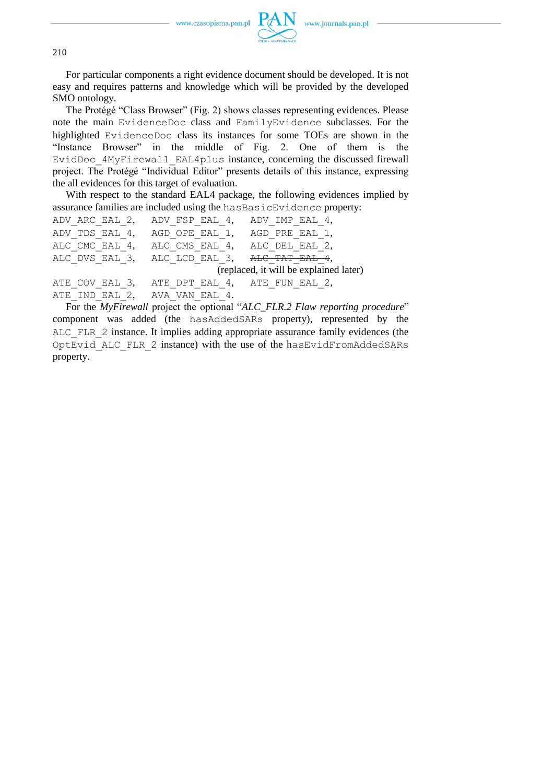

210

For particular components a right evidence document should be developed. It is not easy and requires patterns and knowledge which will be provided by the developed SMO ontology.

The Protégé "Class Browser" (Fig. 2) shows classes representing evidences. Please note the main EvidenceDoc class and FamilyEvidence subclasses. For the highlighted EvidenceDoc class its instances for some TOEs are shown in the "Instance Browser" in the middle of Fig. 2. One of them is the EvidDoc\_4MyFirewall\_EAL4plus instance, concerning the discussed firewall project. The Protégé "Individual Editor" presents details of this instance, expressing the all evidences for this target of evaluation.

With respect to the standard EAL4 package, the following evidences implied by assurance families are included using the hasBasicEvidence property:

```
ADV_ARC_EAL_2, ADV_FSP_EAL_4, ADV_IMP_EAL_4,
ADV_TDS_EAL_4, AGD_OPE_EAL_1, AGD_PRE_EAL_1,
ALC CMC_EAL_4, ALC_CMS_EAL_4, ALC_DEL_EAL_2,
ALC DVS EAL 3, ALC LCD EAL 3, ALC TAT EAL 4,
                           (replaced, it will be explained later) 
ATE COV EAL 3, ATE DPT EAL 4, ATE FUN EAL 2,
ATE_IND_EAL_2, AVA_VAN_EAL_4.
```
For the *MyFirewall* project the optional "*ALC\_FLR.2 Flaw reporting procedure*" component was added (the hasAddedSARs property), represented by the ALC\_FLR\_2 instance. It implies adding appropriate assurance family evidences (the OptEvid\_ALC\_FLR\_2 instance) with the use of the hasEvidFromAddedSARs property.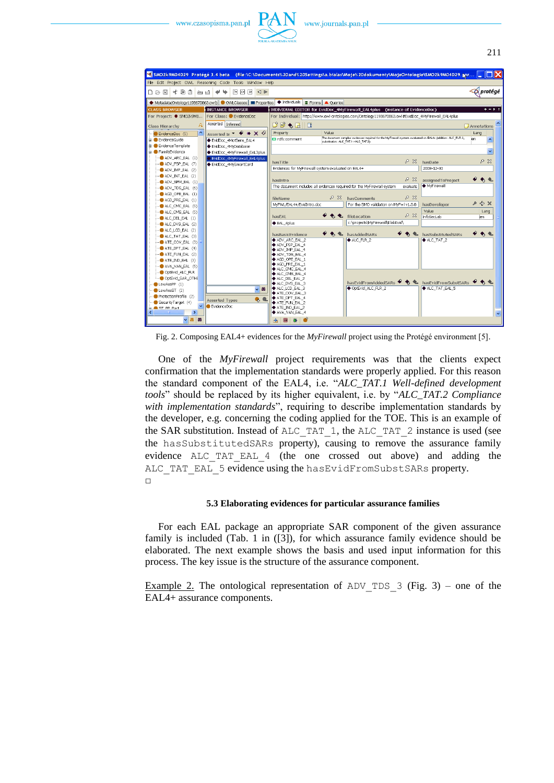

|                                         | SMO2k9M04D29 Protégé 3.4 beta (file:\C:\Documents%20and%20Settings\a.bialas\Moje%20dokumenty\MojeOntologie\SMO2k9M04D29.jpr |                                                                                                                                                                  |     |                                                                                                                           |                       |                    |                     |                  |
|-----------------------------------------|-----------------------------------------------------------------------------------------------------------------------------|------------------------------------------------------------------------------------------------------------------------------------------------------------------|-----|---------------------------------------------------------------------------------------------------------------------------|-----------------------|--------------------|---------------------|------------------|
|                                         | File Edit Project OWL Reasoning Code Tools Window Help                                                                      |                                                                                                                                                                  |     |                                                                                                                           |                       |                    |                     |                  |
| 水胆角<br>日に開<br>ലൈം                       | $P \cup P$ $\cup P$                                                                                                         |                                                                                                                                                                  |     |                                                                                                                           |                       |                    |                     | <b>D</b> protégé |
|                                         | ◆ Metadata(Ontology1198670863.owl) ● OWLClasses ■ Properties ◆ Individuals ■ Forms ▲ Queries                                |                                                                                                                                                                  |     |                                                                                                                           |                       |                    |                     |                  |
| <b>CLASS BROWSER</b>                    | <b>INSTANCE BROWSER</b>                                                                                                     |                                                                                                                                                                  |     | INDIVIDUAL EDITOR for EvidDoc_4MyFirewall_EAL4plus (instance of EvidenceDoc)                                              |                       |                    |                     | $+ - F$          |
| For Project: ● SMO2k9M0                 | For Class: DevidenceDoc                                                                                                     |                                                                                                                                                                  |     | For Individual: http://www.owl-ontologies.com/Ontology1198670863.owl#EvidDoc_4MyFirewall_EAL4plus                         |                       |                    |                     |                  |
| Class Hierarchy                         | Asserted   Inferred                                                                                                         | d 6 + 5   8                                                                                                                                                      |     |                                                                                                                           |                       |                    | Annotations         |                  |
| $\sim$<br>EvidenceDoc (5)               | Asserted In $\bullet$ $\bullet$ $\times$ $\diamondsuit$                                                                     | Property<br>Value                                                                                                                                                |     |                                                                                                                           |                       | Lang               |                     |                  |
| ia- EvidenceGuide                       | EvidDoc_4MotSens_EAL4                                                                                                       | The document samples evdences required for the MyFirewall system evaluated on EAL4+ (addition: ALC_FLR.2,<br>rdfs:comment<br>substitution: ALC TAT.1->ALC TAT.2) |     |                                                                                                                           |                       | len.               | $\hat{\phantom{a}}$ |                  |
| <b>B</b> -C EvidenceTemplate            | EvidDoc_4MyDatabase                                                                                                         |                                                                                                                                                                  |     |                                                                                                                           |                       |                    |                     |                  |
| <b>B</b> - FamilyEvidence               | EvidDoc 4MyFirewall EAL3plus                                                                                                |                                                                                                                                                                  |     |                                                                                                                           |                       |                    |                     | $\checkmark$     |
| ADV ARC EAL (1)                         | EvidDoc 4MyFirewall EAL4plus                                                                                                |                                                                                                                                                                  |     |                                                                                                                           | $8-82$                |                    |                     | 88               |
| ADV_FSP_EAL (7)                         | EvidDoc 4MySmartCard                                                                                                        | hasTitle                                                                                                                                                         |     |                                                                                                                           | hasDate<br>2008-12-30 |                    |                     |                  |
| ADV IMP EAL (2)                         |                                                                                                                             | Evidences for MyFirewall system evaluated on EAL4+                                                                                                               |     |                                                                                                                           |                       |                    |                     |                  |
| ADV_INT_EAL (2)                         |                                                                                                                             | hasIntro                                                                                                                                                         |     |                                                                                                                           | 88                    |                    |                     |                  |
| ADV_SPM_EAL (1)                         |                                                                                                                             | assignedToProject<br>♦ MyFirewall<br>The document includes all evdences required for the MyFirewall system<br>evaluate                                           |     |                                                                                                                           |                       |                    |                     |                  |
| ADV_TDS_EAL (6)                         |                                                                                                                             |                                                                                                                                                                  |     |                                                                                                                           |                       |                    |                     |                  |
| AGD_OPE_EAL (1)<br>AGD PRE EAL (1)      |                                                                                                                             | fileName                                                                                                                                                         | D X | hasComments                                                                                                               | P X                   |                    |                     |                  |
| ALC_CMC_EAL (5)                         |                                                                                                                             | MyFWL/EAL4+/EvidIntro.doc                                                                                                                                        |     | For the SMO validation on MyFwl v1.0.0                                                                                    | hasDeveloper          |                    | $P + X$             |                  |
| ALC_CMS_EAL (5)                         |                                                                                                                             |                                                                                                                                                                  |     |                                                                                                                           | Value                 |                    |                     | Lang             |
| ALC DEL EAL (1)                         |                                                                                                                             | hasEAL                                                                                                                                                           |     | $\triangle$ fileLocation                                                                                                  | P X<br>InfoSecLab     |                    | len.                |                  |
| ALC DVS EAL (2)                         |                                                                                                                             | EAL 4plus                                                                                                                                                        |     | c:\projects\MyFirewall\ElabEvid\                                                                                          |                       |                    |                     |                  |
| ALC_LCD_EAL (2)                         |                                                                                                                             |                                                                                                                                                                  |     |                                                                                                                           |                       |                    |                     |                  |
| ALC_TAT_EAL (3)                         |                                                                                                                             | hasBasicEvidence                                                                                                                                                 |     | hasAddedSARs                                                                                                              |                       | hasSubstitutedSARs |                     |                  |
| ATE COV EAL (3)                         |                                                                                                                             | $*$ ADV ARC EAL 2                                                                                                                                                |     | ALC FLR 2                                                                                                                 | ALC TAT 2             |                    |                     |                  |
| ATE_DPT_EAL (4)                         |                                                                                                                             | ADV_FSP_EAL_4<br>ADV IMP EAL 4                                                                                                                                   |     |                                                                                                                           |                       |                    |                     |                  |
| ATE_FUN_EAL (2)                         |                                                                                                                             | ADV TDS EAL 4                                                                                                                                                    |     |                                                                                                                           |                       |                    |                     |                  |
| ATE_IND_EAL (3)                         |                                                                                                                             | $*$ AGD OPE EAL 1                                                                                                                                                |     |                                                                                                                           |                       |                    |                     |                  |
| AVA VAN EAL (5)                         |                                                                                                                             | $\blacklozenge$ AGD_PRE_EAL_1<br>$\spadesuit$ ALC CMC EAL 4                                                                                                      |     |                                                                                                                           |                       |                    |                     |                  |
| OptEvid ALC FLR                         |                                                                                                                             | $*$ ALC_CMS_EAL_4                                                                                                                                                |     |                                                                                                                           |                       |                    |                     |                  |
| OptEvid SAR OTHE                        |                                                                                                                             | $*$ ALC DEL EAL 2                                                                                                                                                |     | hasEvidFromAddedSARs $\blacklozenge$ $\blacklozenge$ $\blacklozenge$ hasEvidFromSubstSARs $\blacklozenge$ $\blacklozenge$ |                       |                    |                     |                  |
| LowAssPP (1)                            |                                                                                                                             | ALC DVS EAL 3<br>$*$ ALC LCD EAL 3                                                                                                                               |     | ◆ OptEvid ALC FLR 2                                                                                                       | ALC TAT EAL 5         |                    |                     |                  |
| LowAssST (2)                            | 88                                                                                                                          | $\spadesuit$ ate cov eal 3                                                                                                                                       |     |                                                                                                                           |                       |                    |                     |                  |
| ProtectionProfile (2)                   | e, a<br><b>Asserted Types</b>                                                                                               | ATE DPT EAL 4                                                                                                                                                    |     |                                                                                                                           |                       |                    |                     |                  |
| SecurityTarget (4)<br>$\checkmark$      | <b>EvidenceDoc</b>                                                                                                          | ATE_FUN_EAL_2                                                                                                                                                    |     |                                                                                                                           |                       |                    |                     |                  |
| a. <b>C</b> ST PP Part<br>$\rightarrow$ |                                                                                                                             | $*$ ate ind eal 2<br>AVA VAN EAL 4                                                                                                                               |     |                                                                                                                           |                       |                    |                     |                  |
| $\vee$ 88<br>88                         |                                                                                                                             |                                                                                                                                                                  |     |                                                                                                                           |                       |                    |                     |                  |
|                                         |                                                                                                                             | ė.<br>$\rightarrow$                                                                                                                                              |     |                                                                                                                           |                       |                    |                     |                  |

Fig. 2. Composing EAL4+ evidences for the *MyFirewall* project using the Protégé environment [5].

One of the *MyFirewall* project requirements was that the clients expect confirmation that the implementation standards were properly applied. For this reason the standard component of the EAL4, i.e. "*ALC\_TAT.1 Well-defined development tools*" should be replaced by its higher equivalent, i.e. by "*ALC\_TAT.2 Compliance with implementation standards*", requiring to describe implementation standards by the developer, e.g. concerning the coding applied for the TOE. This is an example of the SAR substitution. Instead of ALC\_TAT\_1, the ALC\_TAT\_2 instance is used (see the hasSubstitutedSARs property), causing to remove the assurance family evidence ALC\_TAT\_EAL\_4 (the one crossed out above) and adding the ALC TAT EAL 5 evidence using the hasEvidFromSubstSARs property.  $\Box$ 

# **5.3 Elaborating evidences for particular assurance families**

For each EAL package an appropriate SAR component of the given assurance family is included (Tab. 1 in ([3]), for which assurance family evidence should be elaborated. The next example shows the basis and used input information for this process. The key issue is the structure of the assurance component.

Example 2. The ontological representation of ADV TDS  $3$  (Fig. 3) – one of the EAL4+ assurance components.

211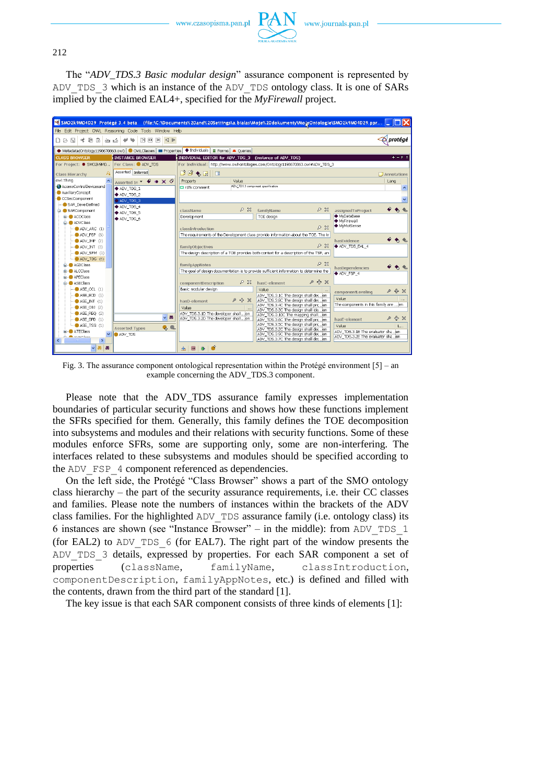

212

The "*ADV\_TDS.3 Basic modular design*" assurance component is represented by ADV\_TDS\_3 which is an instance of the ADV\_TDS ontology class. It is one of SARs implied by the claimed EAL4+, specified for the *MyFirewall* project.

| SMO2k9M04D29 Protégé 3.4 beta (file:\C:\Documents%20and%20Settings\a.bialas\Moje%20dokumenty\MojeOntologie\SMO2k9M04D29.ppr |                                                                         |                                                                                                       |                                                                                        |                                   |                                                                            |         |                                       |                    |           |
|-----------------------------------------------------------------------------------------------------------------------------|-------------------------------------------------------------------------|-------------------------------------------------------------------------------------------------------|----------------------------------------------------------------------------------------|-----------------------------------|----------------------------------------------------------------------------|---------|---------------------------------------|--------------------|-----------|
| File Edit Project OWL Reasoning Code Tools Window Help                                                                      |                                                                         |                                                                                                       |                                                                                        |                                   |                                                                            |         |                                       |                    |           |
| 才用自<br>త త<br>$D \varnothing \boxtimes I$                                                                                   | $\boxed{2}$ $\boxed{0}$ $\boxed{1}$<br>$\triangleleft$ $\triangleright$ |                                                                                                       |                                                                                        |                                   |                                                                            |         |                                       | <b>Q</b> protégé   |           |
| ● Metadata(Ontology1198670863.owl)   ● OWLClasses   ■ Properties                                                            |                                                                         |                                                                                                       | $\blacklozenge$ Individuals $\boxed{\equiv}$ Forms $\boxed{\blacktriangle}$ Queries    |                                   |                                                                            |         |                                       |                    |           |
| <b>CLASS BROWSER</b>                                                                                                        | <b>INSTANCE BROWSER</b>                                                 |                                                                                                       | INDIVIDUAL EDITOR for ADV TDS 3 (instance of ADV TDS)                                  |                                   |                                                                            |         |                                       |                    | $+ - 5.1$ |
| For Project: SMO2k9M0                                                                                                       | For Class: ADV TDS                                                      |                                                                                                       | For Individual: http://www.owl-ontologies.com/Ontology1198670863.owl#ADV_TDS_3         |                                   |                                                                            |         |                                       |                    |           |
| Class Hierarchy                                                                                                             | Asserted Inferred                                                       | $B$ of $\bullet$ $\boxtimes$                                                                          | $\Box$                                                                                 |                                   |                                                                            |         |                                       | $\Box$ Annotations |           |
| owl:Thing<br>$\mathbf{A}$                                                                                                   | Asserted In $\bullet$ $\bullet$ $\times$ $\diamond$                     | Property                                                                                              | Value                                                                                  |                                   |                                                                            |         |                                       | Lang               |           |
| AccessControlDevicesand                                                                                                     | ADV TDS 1                                                               | rdfs:comment                                                                                          |                                                                                        | ADV TDS.3 component specification |                                                                            |         |                                       |                    |           |
| AuxiliaryConcept                                                                                                            | ♦ ADV_TDS_2                                                             |                                                                                                       |                                                                                        |                                   |                                                                            |         |                                       |                    |           |
| CCSecComponent<br>SAR_DevelDefined                                                                                          | ADV_TDS_3                                                               |                                                                                                       |                                                                                        |                                   |                                                                            |         |                                       |                    |           |
| SARComponent                                                                                                                | ◆ ADV TDS 4                                                             | className                                                                                             | 88                                                                                     | familyName                        |                                                                            | 88      | assignedToProject                     |                    |           |
| in ACOClass                                                                                                                 | ADV TDS 5                                                               | Development                                                                                           |                                                                                        | TOE design                        |                                                                            |         | ◆ MyDataBase                          |                    |           |
| ADVClass                                                                                                                    | ADV TDS 6                                                               |                                                                                                       |                                                                                        |                                   |                                                                            |         | ◆ MyFirewall                          |                    |           |
| $\leftarrow$ ADV_ARC $(1)$                                                                                                  |                                                                         | classIntroduction                                                                                     |                                                                                        |                                   |                                                                            | 28      | ◆ MyMotSense                          |                    |           |
| $-$ ADV_FSP $(6)$                                                                                                           |                                                                         |                                                                                                       | The requirements of the Development class provide information about the TOE. The kr    |                                   |                                                                            |         |                                       |                    |           |
| $-$ ADV IMP $(2)$                                                                                                           |                                                                         |                                                                                                       |                                                                                        |                                   |                                                                            |         | hasEvidence                           |                    |           |
| $\rightarrow$ ADV_INT (3)                                                                                                   |                                                                         | familyObjectives                                                                                      |                                                                                        |                                   |                                                                            | 8x      | ADV TDS EAL 4                         |                    |           |
| $ADV$ _SPM $(1)$                                                                                                            |                                                                         |                                                                                                       | The design description of a TOE provides both context for a description of the TSF, an |                                   |                                                                            |         |                                       |                    |           |
| ADV TDS (6)                                                                                                                 |                                                                         |                                                                                                       |                                                                                        |                                   |                                                                            |         |                                       |                    |           |
| <b>B-</b> AGDClass                                                                                                          |                                                                         | 88<br>familyAppNotes<br>hasDependencies                                                               |                                                                                        |                                   |                                                                            |         |                                       |                    |           |
| ALCClass                                                                                                                    |                                                                         | The goal of design documentation is to provide sufficient information to determine the<br>◆ ADV_FSP_4 |                                                                                        |                                   |                                                                            |         |                                       |                    |           |
| <b>APECIass</b><br><b>ASECIass</b>                                                                                          |                                                                         | componentDescription                                                                                  | P X                                                                                    | hasC-element                      |                                                                            | $P + X$ |                                       |                    |           |
| $-$ ASE_CCL $(1)$                                                                                                           |                                                                         | Basic modular design                                                                                  |                                                                                        | Value                             |                                                                            |         |                                       |                    |           |
| $-$ ASE ECD $(1)$                                                                                                           |                                                                         |                                                                                                       |                                                                                        |                                   | ADV_TDS.3.1C The design shall des en                                       |         | componentLeveling                     | ₽                  | ÷ ×       |
| $-$ ASE INT $(1)$                                                                                                           |                                                                         | hasD-element                                                                                          | $2 + 12$                                                                               |                                   | ADV_TDS.3.8C The design shall desen                                        |         | Value                                 |                    |           |
| $-$ ASE_OBJ (2)                                                                                                             |                                                                         | Value                                                                                                 |                                                                                        |                                   | ADV TDS.3.4C The design shall prclen                                       |         | The components in this family are  en |                    |           |
| $-$ <b>ASE_REQ</b> (2)                                                                                                      |                                                                         |                                                                                                       | ADV_TDS.3.1D The developer shall  en                                                   |                                   | ADV TDS.3.3C The design shall ideen<br>ADV TDS.3.10C The mapping shall en  |         |                                       |                    |           |
| $-$ ASE_SPD $(1)$                                                                                                           | B <sub>0</sub>                                                          |                                                                                                       | ADV TDS.3.2D The developer shall  en                                                   |                                   | ADV TDS.3.6C The design shall prcen                                        |         | hasE-element                          | ₽                  | -유 ※      |
| $-$ ASE TSS $(1)$                                                                                                           | ę,<br><b>Asserted Types</b>                                             |                                                                                                       |                                                                                        |                                   | ADV_TDS.3.5C The design shall prcen                                        |         | Value                                 |                    | L         |
| ATFClass<br>ADV TDS                                                                                                         |                                                                         |                                                                                                       |                                                                                        |                                   | ADV_TDS.3.2C The design shall desen<br>ADV_TDS.3.9C The design shall desen |         | ADV_TDS.3.1E The evaluator sha,jen    |                    |           |
| <b>CALL AND A CONTRACT</b><br>$\rightarrow$                                                                                 |                                                                         |                                                                                                       |                                                                                        |                                   | ADV TDS.3.7C The design shall des en                                       |         | ADV TDS.3.2E The evaluator sha en     |                    |           |
| 86 88                                                                                                                       |                                                                         | پلې                                                                                                   |                                                                                        |                                   |                                                                            |         |                                       |                    |           |

Fig. 3. The assurance component ontological representation within the Protégé environment  $[5]$  – an example concerning the ADV\_TDS.3 component.

Please note that the ADV\_TDS assurance family expresses implementation boundaries of particular security functions and shows how these functions implement the SFRs specified for them. Generally, this family defines the TOE decomposition into subsystems and modules and their relations with security functions. Some of these modules enforce SFRs, some are supporting only, some are non-interfering. The interfaces related to these subsystems and modules should be specified according to the ADV FSP 4 component referenced as dependencies.

On the left side, the Protégé "Class Browser" shows a part of the SMO ontology class hierarchy – the part of the security assurance requirements, i.e. their CC classes and families. Please note the numbers of instances within the brackets of the ADV class families. For the highlighted ADV\_TDS assurance family (i.e. ontology class) its 6 instances are shown (see "Instance Browser" – in the middle): from ADV\_TDS\_1 (for EAL2) to  $ADV$  TDS  $6$  (for EAL7). The right part of the window presents the ADV\_TDS\_3 details, expressed by properties. For each SAR component a set of properties (className, familyName, classIntroduction, componentDescription, familyAppNotes, etc.) is defined and filled with the contents, drawn from the third part of the standard [1].

The key issue is that each SAR component consists of three kinds of elements [1]: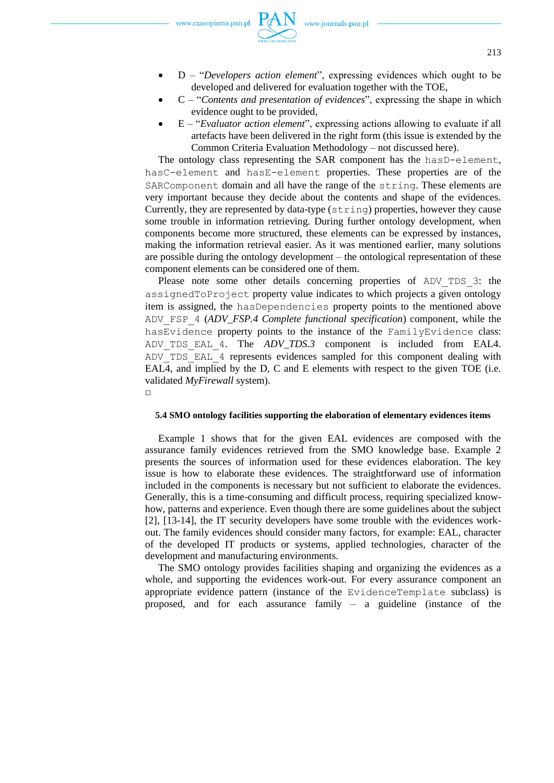- D "*Developers action element*", expressing evidences which ought to be developed and delivered for evaluation together with the TOE,
- C "*Contents and presentation of evidences*", expressing the shape in which evidence ought to be provided,
- E "*Evaluator action element*", expressing actions allowing to evaluate if all artefacts have been delivered in the right form (this issue is extended by the Common Criteria Evaluation Methodology – not discussed here).

The ontology class representing the SAR component has the hasD-element, hasC-element and hasE-element properties. These properties are of the SARComponent domain and all have the range of the string. These elements are very important because they decide about the contents and shape of the evidences. Currently, they are represented by data-type (string) properties, however they cause some trouble in information retrieving. During further ontology development, when components become more structured, these elements can be expressed by instances, making the information retrieval easier. As it was mentioned earlier, many solutions are possible during the ontology development – the ontological representation of these component elements can be considered one of them.

Please note some other details concerning properties of ADV TDS 3: the assignedToProject property value indicates to which projects a given ontology item is assigned, the hasDependencies property points to the mentioned above ADV\_FSP\_4 (*ADV\_FSP.4 Complete functional specification*) component, while the hasEvidence property points to the instance of the FamilyEvidence class: ADV\_TDS\_EAL\_4. The *ADV\_TDS.3* component is included from EAL4. ADV\_TDS\_EAL\_4 represents evidences sampled for this component dealing with EAL4, and implied by the D, C and E elements with respect to the given TOE (i.e. validated *MyFirewall* system).  $\Box$ 

## **5.4 SMO ontology facilities supporting the elaboration of elementary evidences items**

Example 1 shows that for the given EAL evidences are composed with the assurance family evidences retrieved from the SMO knowledge base. Example 2 presents the sources of information used for these evidences elaboration. The key issue is how to elaborate these evidences. The straightforward use of information included in the components is necessary but not sufficient to elaborate the evidences. Generally, this is a time-consuming and difficult process, requiring specialized knowhow, patterns and experience. Even though there are some guidelines about the subject [2], [13-14], the IT security developers have some trouble with the evidences workout. The family evidences should consider many factors, for example: EAL, character of the developed IT products or systems, applied technologies, character of the development and manufacturing environments.

The SMO ontology provides facilities shaping and organizing the evidences as a whole, and supporting the evidences work-out. For every assurance component an appropriate evidence pattern (instance of the EvidenceTemplate subclass) is proposed, and for each assurance family – a guideline (instance of the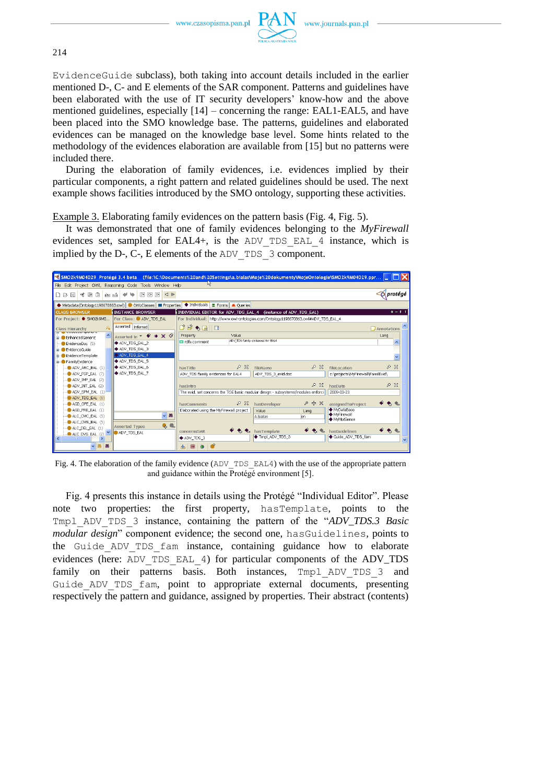

EvidenceGuide subclass), both taking into account details included in the earlier mentioned D-, C- and E elements of the SAR component. Patterns and guidelines have been elaborated with the use of IT security developers' know-how and the above mentioned guidelines, especially [14] – concerning the range: EAL1-EAL5, and have been placed into the SMO knowledge base. The patterns, guidelines and elaborated evidences can be managed on the knowledge base level. Some hints related to the methodology of the evidences elaboration are available from [15] but no patterns were included there.

During the elaboration of family evidences, i.e. evidences implied by their particular components, a right pattern and related guidelines should be used. The next example shows facilities introduced by the SMO ontology, supporting these activities.

Example 3. Elaborating family evidences on the pattern basis (Fig. 4, Fig. 5).

It was demonstrated that one of family evidences belonging to the *MyFirewall* evidences set, sampled for EAL4+, is the ADV\_TDS\_EAL\_4 instance, which is implied by the D-, C-, E elements of the ADV\_TDS\_3 component.



Fig. 4. The elaboration of the family evidence ( $ADV$  TDS  $EAL4$ ) with the use of the appropriate pattern and guidance within the  $\overline{Prot}$  environment [5].

Fig. 4 presents this instance in details using the Protégé "Individual Editor". Please note two properties: the first property, hasTemplate, points to the Tmpl\_ADV\_TDS\_3 instance, containing the pattern of the "*ADV\_TDS.3 Basic modular design*" component evidence; the second one, hasGuidelines, points to the Guide ADV TDS fam instance, containing guidance how to elaborate evidences (here: ADV\_TDS\_EAL\_4) for particular components of the ADV\_TDS family on their patterns basis. Both instances, Tmpl ADV TDS 3 and Guide ADV TDS fam, point to appropriate external documents, presenting respectively the pattern and guidance, assigned by properties. Their abstract (contents)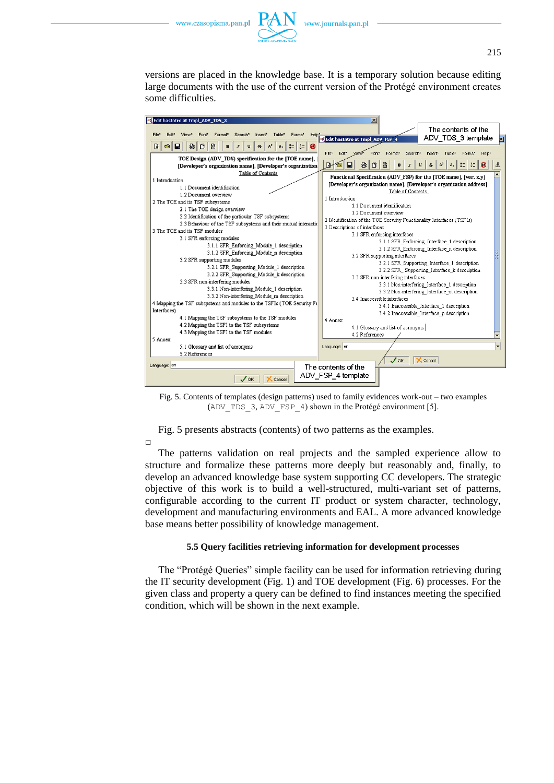



versions are placed in the knowledge base. It is a temporary solution because editing large documents with the use of the current version of the Protégé environment creates some difficulties.



Fig. 5. Contents of templates (design patterns) used to family evidences work-out – two examples (ADV\_TDS\_3, ADV\_FSP\_4) shown in the Protégé environment [5].

Fig. 5 presents abstracts (contents) of two patterns as the examples.

 $\Box$ 

The patterns validation on real projects and the sampled experience allow to structure and formalize these patterns more deeply but reasonably and, finally, to develop an advanced knowledge base system supporting CC developers. The strategic objective of this work is to build a well-structured, multi-variant set of patterns, configurable according to the current IT product or system character, technology, development and manufacturing environments and EAL. A more advanced knowledge base means better possibility of knowledge management.

### **5.5 Query facilities retrieving information for development processes**

The "Protégé Queries" simple facility can be used for information retrieving during the IT security development (Fig. 1) and TOE development (Fig. 6) processes. For the given class and property a query can be defined to find instances meeting the specified condition, which will be shown in the next example.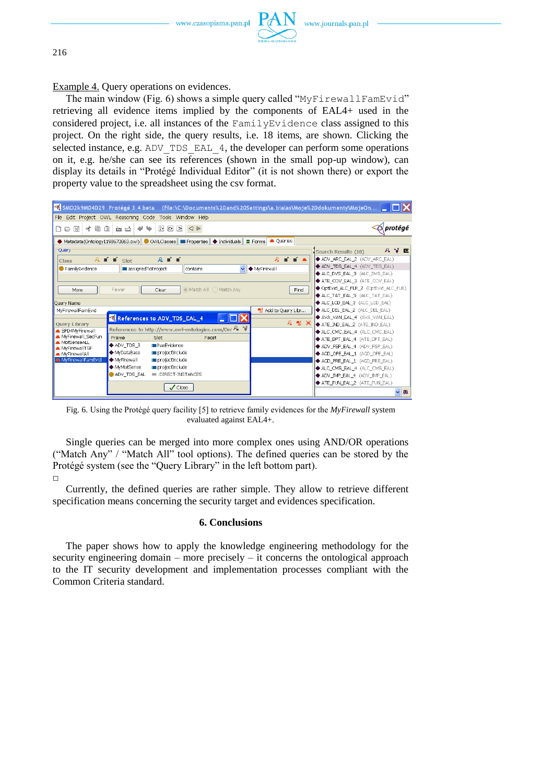

Example 4. Query operations on evidences.

The main window (Fig. 6) shows a simple query called "MyFirewallFamEvid" retrieving all evidence items implied by the components of EAL4+ used in the considered project, i.e. all instances of the FamilyEvidence class assigned to this project. On the right side, the query results, i.e. 18 items, are shown. Clicking the selected instance, e.g. ADV\_TDS\_EAL\_4, the developer can perform some operations on it, e.g. he/she can see its references (shown in the small pop-up window), can display its details in "Protégé Individual Editor" (it is not shown there) or export the property value to the spreadsheet using the csv format.

| SMO2k9M04D29_Protégé 3.4 beta = (file:\C:\Documents%20and%20Settings\a.bialas\Moje%20dokumenty\MojeOn           |                                                  |
|-----------------------------------------------------------------------------------------------------------------|--------------------------------------------------|
| File Edit Project OWL Reasoning Code Tools Window Help                                                          |                                                  |
| 200D<br>信<br>of<br>€<br>$\triangleright$<br>$\triangleleft$ $\triangleright$<br>周<br>西 凸<br>$\circledcirc$<br>n | protégé                                          |
| $\bullet$ Metadata(Ontology1198670863.owl) $\bullet$ OWLClasses $\bullet$ Properties $\bullet$ Individuals      | <b>A</b> Queries<br>$\equiv$ Forms               |
| Query                                                                                                           | AXE<br>Search Results (18)                       |
| $R = 1$<br>$\lambda$ $\blacksquare$ $\blacksquare$ $\blacksquare$ $\blacksquare$<br>Class                       | $R = 1$<br>ADV ARC EAL 2 (ADV ARC EAL)           |
| FamilyEvidence<br><b>III</b> assigned ToProject<br>contains                                                     | ADV_TDS_EAL_4 (ADV_TDS_EAL)<br>◆ MyFirewall<br>v |
|                                                                                                                 | ALC_DVS_EAL_3 (ALC_DVS_EAL)                      |
|                                                                                                                 | ◆ ATE_COV_EAL_3 (ATE_COV_EAL)                    |
| Match All Match Any<br>Fewer<br>More<br>Clear                                                                   | ◆ OptEvid_ALC_FLR_2 (OptEvid_ALC_FLR)<br>Find    |
|                                                                                                                 | ALC_TAT_EAL_5 (ALC_TAT_EAL)                      |
| Ouery Name                                                                                                      | ALC LCD EAL 3 (ALC LCD EAL)                      |
| MyFirewallFamEvid                                                                                               | ALC_DEL_EAL_2 (ALC_DEL_EAL)<br>Add to Query Libr |
| References to ADV_TDS_EAL_4                                                                                     | AVA_VAN_EAL_4 (AVA_VAN_EAL)<br>요 촬 X             |
| <b>Ouery Library</b><br>References to http://www.owl-ontologies.com/Oni A V<br>SPD4MvFirewall                   | ◆ ATE_IND_EAL_2 (ATE_IND_EAL)                    |
| MyFirewall SecFun<br><b>Facet</b><br>Frame<br>Slot                                                              | ALC_CMC_EAL_4 (ALC_CMC_EAL)                      |
| MotSenseALL<br>◆ ADV TDS 3<br><b>In hasEvidence</b>                                                             | ◆ ATE DPT EAL 4 (ATE DPT EAL)                    |
| MyFirewallTSF<br>◆ MvDataBase<br>projectInclude                                                                 | ◆ ADV_FSP_EAL_4 (ADV_FSP_EAL)                    |
| MyFirewallAll<br>♦ MyFirewall<br>MyFirewallFamEvid<br>projectInclude                                            | ◆ AGD_OPE_EAL_1 (AGD_OPE_EAL)                    |
| ◆ MyMotSense<br>projectInclude                                                                                  | AGD_PRE_EAL_1 (AGD_PRE_EAL)                      |
| ADV_TDS_EAL<br>DIRECT-INSTANCES                                                                                 | ALC_CMS_EAL_4 (ALC_CMS_EAL)                      |
|                                                                                                                 | ADV IMP EAL 4 (ADV IMP EAL)                      |
| $\sqrt{\frac{1}{2}}$ Close                                                                                      | ATE FUN EAL 2 (ATE FUN EAL)                      |
|                                                                                                                 | 88<br>$\checkmark$                               |

Fig. 6. Using the Protégé query facility [5] to retrieve family evidences for the *MyFirewall* system evaluated against EAL4+.

Single queries can be merged into more complex ones using AND/OR operations ("Match Any" / "Match All" tool options). The defined queries can be stored by the Protégé system (see the "Query Library" in the left bottom part).  $\Box$ 

Currently, the defined queries are rather simple. They allow to retrieve different specification means concerning the security target and evidences specification.

## **6. Conclusions**

The paper shows how to apply the knowledge engineering methodology for the security engineering domain – more precisely – it concerns the ontological approach to the IT security development and implementation processes compliant with the Common Criteria standard.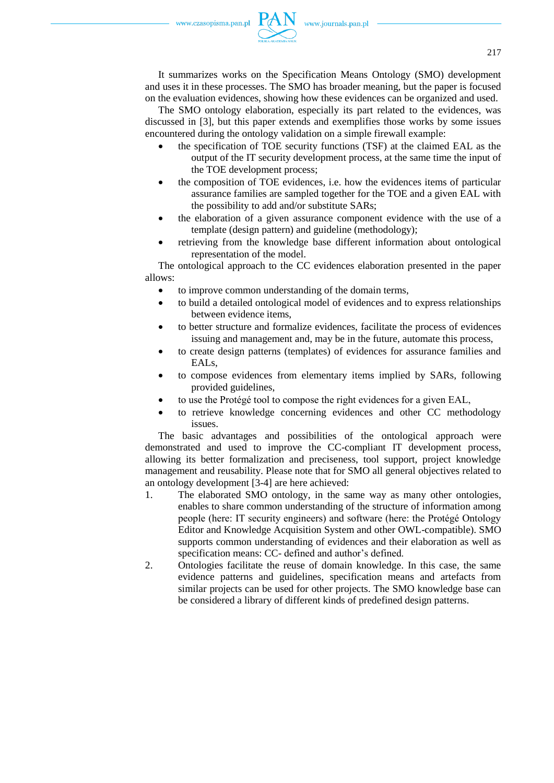It summarizes works on the Specification Means Ontology (SMO) development and uses it in these processes. The SMO has broader meaning, but the paper is focused on the evaluation evidences, showing how these evidences can be organized and used.

The SMO ontology elaboration, especially its part related to the evidences, was discussed in [3], but this paper extends and exemplifies those works by some issues encountered during the ontology validation on a simple firewall example:

- the specification of TOE security functions (TSF) at the claimed EAL as the output of the IT security development process, at the same time the input of the TOE development process;
- the composition of TOE evidences, i.e. how the evidences items of particular assurance families are sampled together for the TOE and a given EAL with the possibility to add and/or substitute SARs;
- the elaboration of a given assurance component evidence with the use of a template (design pattern) and guideline (methodology);
- retrieving from the knowledge base different information about ontological representation of the model.

The ontological approach to the CC evidences elaboration presented in the paper allows:

- to improve common understanding of the domain terms,
- to build a detailed ontological model of evidences and to express relationships between evidence items,
- to better structure and formalize evidences, facilitate the process of evidences issuing and management and, may be in the future, automate this process,
- to create design patterns (templates) of evidences for assurance families and EAL<sub>s</sub>
- to compose evidences from elementary items implied by SARs, following provided guidelines,
- to use the Protégé tool to compose the right evidences for a given EAL,
- to retrieve knowledge concerning evidences and other CC methodology issues.

The basic advantages and possibilities of the ontological approach were demonstrated and used to improve the CC-compliant IT development process, allowing its better formalization and preciseness, tool support, project knowledge management and reusability. Please note that for SMO all general objectives related to an ontology development [3-4] are here achieved:

- 1. The elaborated SMO ontology, in the same way as many other ontologies, enables to share common understanding of the structure of information among people (here: IT security engineers) and software (here: the Protégé Ontology Editor and Knowledge Acquisition System and other OWL-compatible). SMO supports common understanding of evidences and their elaboration as well as specification means: CC- defined and author's defined.
- 2. Ontologies facilitate the reuse of domain knowledge. In this case, the same evidence patterns and guidelines, specification means and artefacts from similar projects can be used for other projects. The SMO knowledge base can be considered a library of different kinds of predefined design patterns.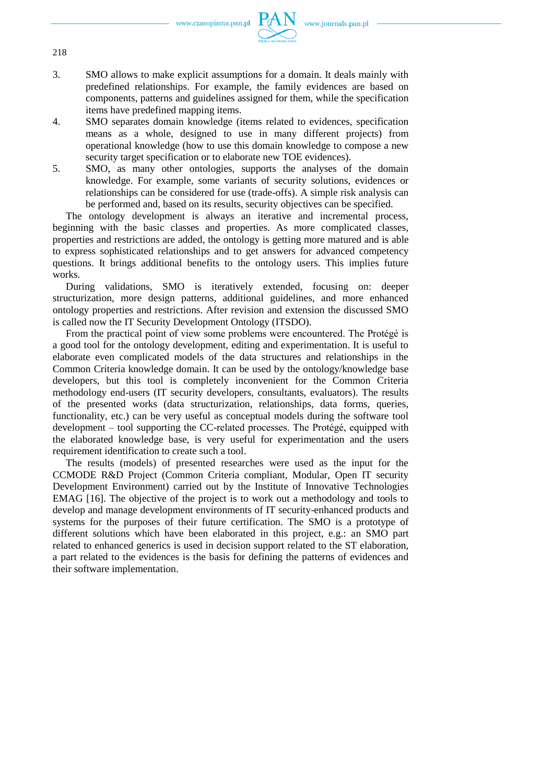

- 3. SMO allows to make explicit assumptions for a domain. It deals mainly with predefined relationships. For example, the family evidences are based on components, patterns and guidelines assigned for them, while the specification items have predefined mapping items.
- 4. SMO separates domain knowledge (items related to evidences, specification means as a whole, designed to use in many different projects) from operational knowledge (how to use this domain knowledge to compose a new security target specification or to elaborate new TOE evidences).
- 5. SMO, as many other ontologies, supports the analyses of the domain knowledge. For example, some variants of security solutions, evidences or relationships can be considered for use (trade-offs). A simple risk analysis can be performed and, based on its results, security objectives can be specified.

The ontology development is always an iterative and incremental process, beginning with the basic classes and properties. As more complicated classes, properties and restrictions are added, the ontology is getting more matured and is able to express sophisticated relationships and to get answers for advanced competency questions. It brings additional benefits to the ontology users. This implies future works.

During validations, SMO is iteratively extended, focusing on: deeper structurization, more design patterns, additional guidelines, and more enhanced ontology properties and restrictions. After revision and extension the discussed SMO is called now the IT Security Development Ontology (ITSDO).

From the practical point of view some problems were encountered. The Protégé is a good tool for the ontology development, editing and experimentation. It is useful to elaborate even complicated models of the data structures and relationships in the Common Criteria knowledge domain. It can be used by the ontology/knowledge base developers, but this tool is completely inconvenient for the Common Criteria methodology end-users (IT security developers, consultants, evaluators). The results of the presented works (data structurization, relationships, data forms, queries, functionality, etc.) can be very useful as conceptual models during the software tool development – tool supporting the CC-related processes. The Protégé, equipped with the elaborated knowledge base, is very useful for experimentation and the users requirement identification to create such a tool.

The results (models) of presented researches were used as the input for the CCMODE R&D Project (Common Criteria compliant, Modular, Open IT security Development Environment) carried out by the Institute of Innovative Technologies EMAG [16]. The objective of the project is to work out a methodology and tools to develop and manage development environments of IT security-enhanced products and systems for the purposes of their future certification. The SMO is a prototype of different solutions which have been elaborated in this project, e.g.: an SMO part related to enhanced generics is used in decision support related to the ST elaboration, a part related to the evidences is the basis for defining the patterns of evidences and their software implementation.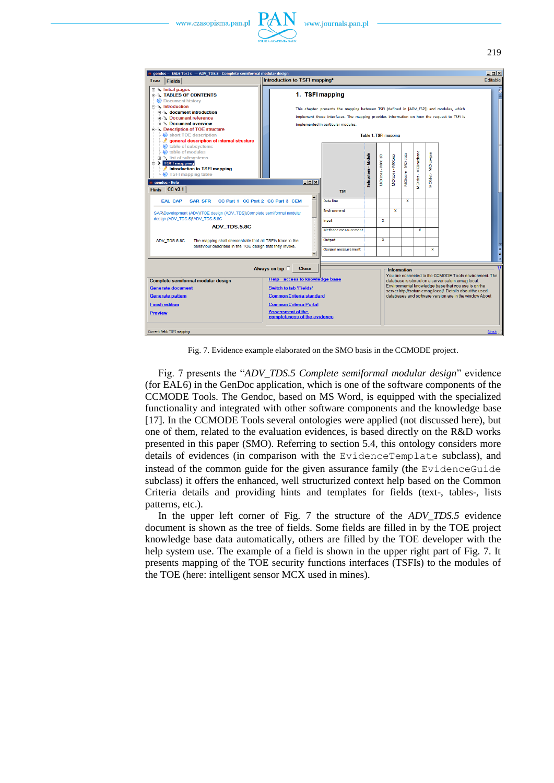



Fig. 7. Evidence example elaborated on the SMO basis in the CCMODE project.

Fig. 7 presents the "*ADV\_TDS.5 Complete semiformal modular design*" evidence (for EAL6) in the GenDoc application, which is one of the software components of the CCMODE Tools. The Gendoc, based on MS Word, is equipped with the specialized functionality and integrated with other software components and the knowledge base [17]. In the CCMODE Tools several ontologies were applied (not discussed here), but one of them, related to the evaluation evidences, is based directly on the R&D works presented in this paper (SMO). Referring to section 5.4, this ontology considers more details of evidences (in comparison with the EvidenceTemplate subclass), and instead of the common guide for the given assurance family (the EvidenceGuide subclass) it offers the enhanced, well structurized context help based on the Common Criteria details and providing hints and templates for fields (text-, tables-, lists patterns, etc.).

In the upper left corner of Fig. 7 the structure of the *ADV\_TDS.5* evidence document is shown as the tree of fields. Some fields are filled in by the TOE project knowledge base data automatically, others are filled by the TOE developer with the help system use. The example of a field is shown in the upper right part of Fig. 7. It presents mapping of the TOE security functions interfaces (TSFIs) to the modules of the TOE (here: intelligent sensor MCX used in mines).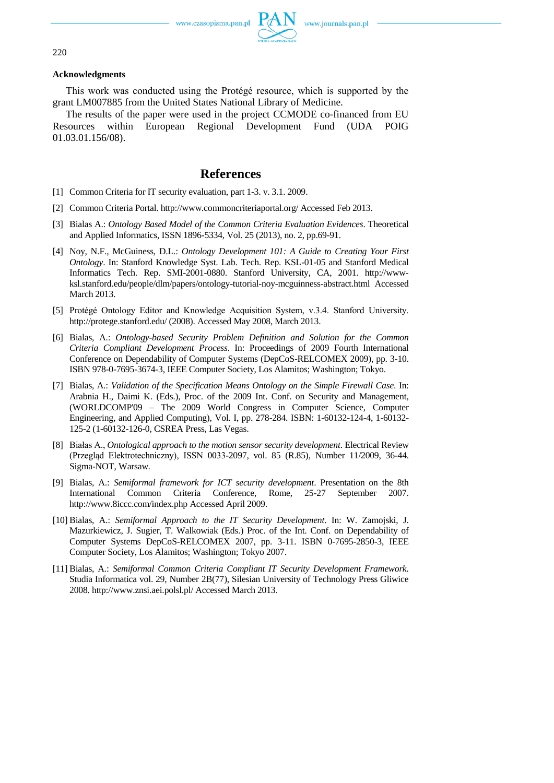

#### **Acknowledgments**

This work was conducted using the Protégé resource, which is supported by the grant LM007885 from the United States National Library of Medicine.

The results of the paper were used in the project CCMODE co-financed from EU Resources within European Regional Development Fund (UDA POIG 01.03.01.156/08).

# **References**

- [1] Common Criteria for IT security evaluation, part 1-3. v. 3.1. 2009.
- [2] Common Criteria Portal. http://www.commoncriteriaportal.org/ Accessed Feb 2013.
- [3] Bialas A.: *Ontology Based Model of the Common Criteria Evaluation Evidences*. Theoretical and Applied Informatics, ISSN 1896-5334, Vol. 25 (2013), no. 2, pp.69-91.
- [4] Noy, N.F., McGuiness, D.L.: *Ontology Development 101: A Guide to Creating Your First Ontology*. In: Stanford Knowledge Syst. Lab. Tech. Rep. KSL-01-05 and Stanford Medical Informatics Tech. Rep. SMI-2001-0880. Stanford University, CA, 2001. http://wwwksl.stanford.edu/people/dlm/papers/ontology-tutorial-noy-mcguinness-abstract.html Accessed March 2013.
- [5] Protégé Ontology Editor and Knowledge Acquisition System, v.3.4. Stanford University. http://protege.stanford.edu/ (2008). Accessed May 2008, March 2013.
- [6] Bialas, A.: *Ontology-based Security Problem Definition and Solution for the Common Criteria Compliant Development Process*. In: Proceedings of 2009 Fourth International Conference on Dependability of Computer Systems (DepCoS-RELCOMEX 2009), pp. 3-10. ISBN 978-0-7695-3674-3, IEEE Computer Society, Los Alamitos; Washington; Tokyo.
- [7] Bialas, A.: *Validation of the Specification Means Ontology on the Simple Firewall Case*. In: Arabnia H., Daimi K. (Eds.), Proc. of the 2009 Int. Conf. on Security and Management, (WORLDCOMP'09 – The 2009 World Congress in Computer Science, Computer Engineering, and Applied Computing), Vol. I, pp. 278-284. ISBN: 1-60132-124-4, 1-60132- 125-2 (1-60132-126-0, CSREA Press, Las Vegas.
- [8] Białas A., *Ontological approach to the motion sensor security development*. Electrical Review (Przegląd Elektrotechniczny), ISSN 0033-2097, vol. 85 (R.85), Number 11/2009, 36-44. Sigma-NOT, Warsaw.
- [9] Bialas, A.: *Semiformal framework for ICT security development*. Presentation on the 8th International Common Criteria Conference, Rome, 25-27 September 2007. http://www.8iccc.com/index.php Accessed April 2009.
- [10] Bialas, A.: *Semiformal Approach to the IT Security Development*. In: W. Zamojski, J. Mazurkiewicz, J. Sugier, T. Walkowiak (Eds.) Proc. of the Int. Conf. on Dependability of Computer Systems DepCoS-RELCOMEX 2007, pp. 3-11. ISBN 0-7695-2850-3, IEEE Computer Society, Los Alamitos; Washington; Tokyo 2007.
- [11] Bialas, A.: *Semiformal Common Criteria Compliant IT Security Development Framework*. Studia Informatica vol. 29, Number 2B(77), Silesian University of Technology Press Gliwice 2008. http://www.znsi.aei.polsl.pl/ Accessed March 2013.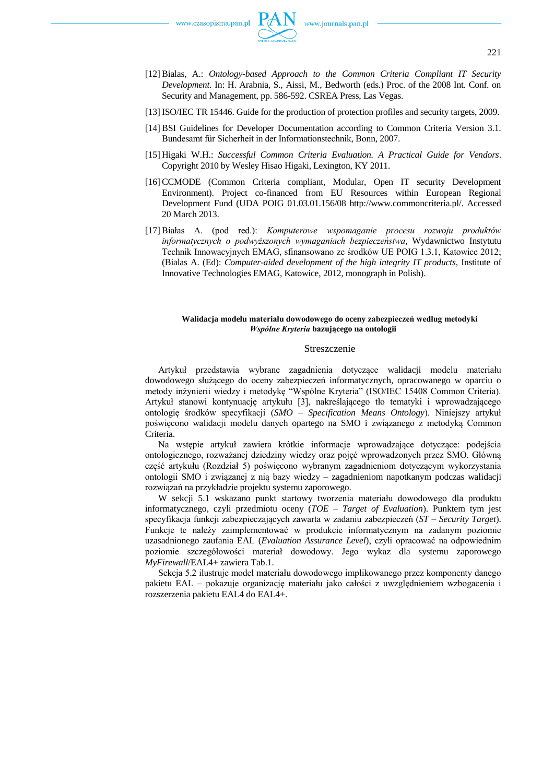- [12] Bialas, A.: *Ontology-based Approach to the Common Criteria Compliant IT Security Development*. In: H. Arabnia, S., Aissi, M., Bedworth (eds.) Proc. of the 2008 Int. Conf. on Security and Management, pp. 586-592. CSREA Press, Las Vegas.
- [13] ISO/IEC TR 15446. Guide for the production of protection profiles and security targets, 2009.
- [14] BSI Guidelines for Developer Documentation according to Common Criteria Version 3.1. Bundesamt für Sicherheit in der Informationstechnik, Bonn, 2007.
- [15] Higaki W.H.: *Successful Common Criteria Evaluation. A Practical Guide for Vendors*. Copyright 2010 by Wesley Hisao Higaki, Lexington, KY 2011.
- [16] CCMODE (Common Criteria compliant, Modular, Open IT security Development Environment). Project co-financed from EU Resources within European Regional Development Fund (UDA POIG 01.03.01.156/08 http://www.commoncriteria.pl/. Accessed 20 March 2013.
- [17] Białas A. (pod red.): *Komputerowe wspomaganie procesu rozwoju produktów informatycznych o podwyższonych wymaganiach bezpieczeństwa*, Wydawnictwo Instytutu Technik Innowacyjnych EMAG, sfinansowano ze środków UE POIG 1.3.1, Katowice 2012; (Bialas A. (Ed): *Computer-aided development of the high integrity IT products*, Institute of Innovative Technologies EMAG, Katowice, 2012, monograph in Polish).

#### **Walidacja modelu materiału dowodowego do oceny zabezpieczeń według metodyki**  *Wspólne Kryteria* **bazującego na ontologii**

#### Streszczenie

Artykuł przedstawia wybrane zagadnienia dotyczące walidacji modelu materiału dowodowego służącego do oceny zabezpieczeń informatycznych, opracowanego w oparciu o metody inżynierii wiedzy i metodykę "Wspólne Kryteria" (ISO/IEC 15408 Common Criteria). Artykuł stanowi kontynuację artykułu [3], nakreślającego tło tematyki i wprowadzającego ontologię środków specyfikacji (*SMO – Specification Means Ontology*). Niniejszy artykuł poświęcono walidacji modelu danych opartego na SMO i związanego z metodyką Common Criteria.

Na wstępie artykuł zawiera krótkie informacje wprowadzające dotyczące: podejścia ontologicznego, rozważanej dziedziny wiedzy oraz pojęć wprowadzonych przez SMO. Główną część artykułu (Rozdział 5) poświęcono wybranym zagadnieniom dotyczącym wykorzystania ontologii SMO i związanej z nią bazy wiedzy – zagadnieniom napotkanym podczas walidacji rozwiązań na przykładzie projektu systemu zaporowego.

W sekcji 5.1 wskazano punkt startowy tworzenia materiału dowodowego dla produktu informatycznego, czyli przedmiotu oceny (*TOE – Target of Evaluation*). Punktem tym jest specyfikacja funkcji zabezpieczających zawarta w zadaniu zabezpieczeń (*ST – Security Target*). Funkcje te należy zaimplementować w produkcie informatycznym na zadanym poziomie uzasadnionego zaufania EAL (*Evaluation Assurance Level*), czyli opracować na odpowiednim poziomie szczegółowości materiał dowodowy. Jego wykaz dla systemu zaporowego *MyFirewall*/EAL4+ zawiera Tab.1.

Sekcja 5.2 ilustruje model materiału dowodowego implikowanego przez komponenty danego pakietu EAL – pokazuje organizację materiału jako całości z uwzględnieniem wzbogacenia i rozszerzenia pakietu EAL4 do EAL4+.